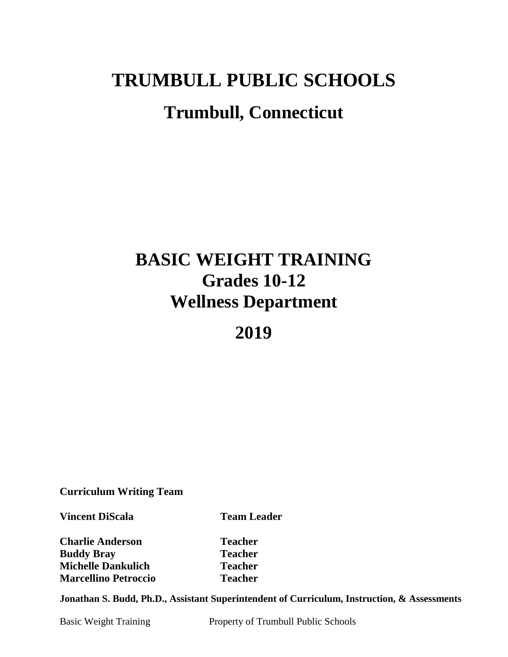# **TRUMBULL PUBLIC SCHOOLS Trumbull, Connecticut**

## **BASIC WEIGHT TRAINING Grades 10-12 Wellness Department**

**2019**

**Curriculum Writing Team**

**Vincent DiScala Team Leader** 

**Charlie Anderson Teacher Buddy Bray Teacher Michelle Dankulich Teacher Marcellino Petroccio Teacher** 

**Jonathan S. Budd, Ph.D., Assistant Superintendent of Curriculum, Instruction, & Assessments**

Basic Weight Training Property of Trumbull Public Schools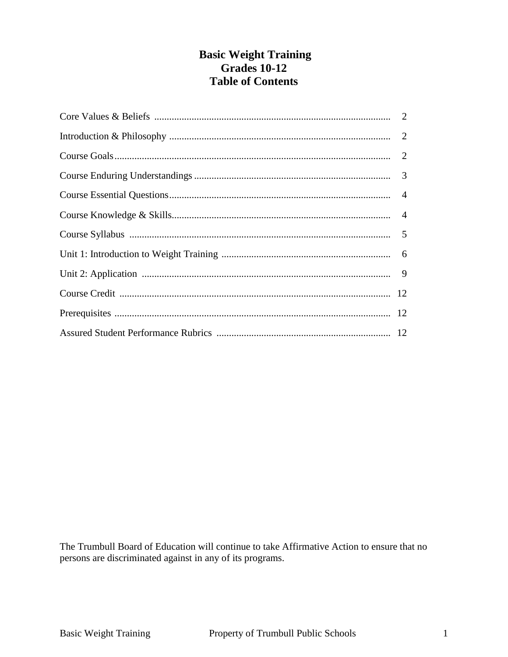#### **Basic Weight Training Grades 10-12 Table of Contents**

The Trumbull Board of Education will continue to take Affirmative Action to ensure that no persons are discriminated against in any of its programs.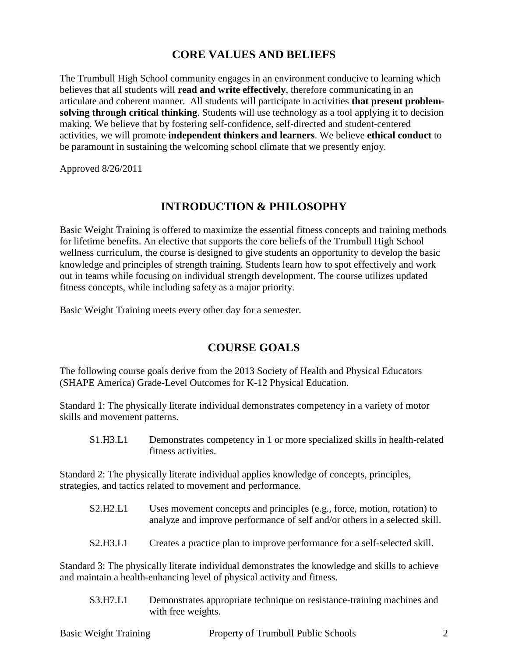#### **CORE VALUES AND BELIEFS**

The Trumbull High School community engages in an environment conducive to learning which believes that all students will **read and write effectively**, therefore communicating in an articulate and coherent manner. All students will participate in activities **that present problemsolving through critical thinking**. Students will use technology as a tool applying it to decision making. We believe that by fostering self-confidence, self-directed and student-centered activities, we will promote **independent thinkers and learners**. We believe **ethical conduct** to be paramount in sustaining the welcoming school climate that we presently enjoy.

Approved 8/26/2011

#### **INTRODUCTION & PHILOSOPHY**

Basic Weight Training is offered to maximize the essential fitness concepts and training methods for lifetime benefits. An elective that supports the core beliefs of the Trumbull High School wellness curriculum, the course is designed to give students an opportunity to develop the basic knowledge and principles of strength training. Students learn how to spot effectively and work out in teams while focusing on individual strength development. The course utilizes updated fitness concepts, while including safety as a major priority.

Basic Weight Training meets every other day for a semester.

## **COURSE GOALS**

The following course goals derive from the 2013 Society of Health and Physical Educators (SHAPE America) Grade-Level Outcomes for K-12 Physical Education.

Standard 1: The physically literate individual demonstrates competency in a variety of motor skills and movement patterns.

S1.H3.L1 Demonstrates competency in 1 or more specialized skills in health-related fitness activities.

Standard 2: The physically literate individual applies knowledge of concepts, principles, strategies, and tactics related to movement and performance.

- S2.H2.L1 Uses movement concepts and principles (e.g., force, motion, rotation) to analyze and improve performance of self and/or others in a selected skill.
- S2.H3.L1 Creates a practice plan to improve performance for a self-selected skill.

Standard 3: The physically literate individual demonstrates the knowledge and skills to achieve and maintain a health-enhancing level of physical activity and fitness.

S3.H7.L1 Demonstrates appropriate technique on resistance-training machines and with free weights.

|  | <b>Basic Weight Training</b> | Property of Trumbull Public Schools |  |
|--|------------------------------|-------------------------------------|--|
|--|------------------------------|-------------------------------------|--|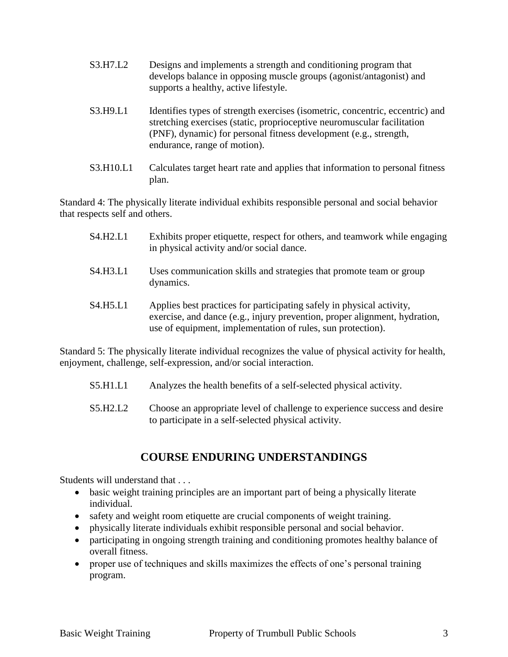| S3.H7.L2                         | Designs and implements a strength and conditioning program that<br>develops balance in opposing muscle groups (agonist/antagonist) and<br>supports a healthy, active lifestyle. |
|----------------------------------|---------------------------------------------------------------------------------------------------------------------------------------------------------------------------------|
| $\alpha \wedge \tau \wedge \tau$ | $\mathbf{r}$ , and $\mathbf{r}$ , and $\mathbf{r}$ , and $\mathbf{r}$ , and $\mathbf{r}$ , and $\mathbf{r}$ , and $\mathbf{r}$                                                  |

- S3.H9.L1 Identifies types of strength exercises (isometric, concentric, eccentric) and stretching exercises (static, proprioceptive neuromuscular facilitation (PNF), dynamic) for personal fitness development (e.g., strength, endurance, range of motion).
- S3.H10.L1 Calculates target heart rate and applies that information to personal fitness plan.

Standard 4: The physically literate individual exhibits responsible personal and social behavior that respects self and others.

| S4.H2.L1 | Exhibits proper etiquette, respect for others, and teamwork while engaging<br>in physical activity and/or social dance.                                                                                            |
|----------|--------------------------------------------------------------------------------------------------------------------------------------------------------------------------------------------------------------------|
| S4.H3.L1 | Uses communication skills and strategies that promote team or group<br>dynamics.                                                                                                                                   |
| S4.H5.L1 | Applies best practices for participating safely in physical activity,<br>exercise, and dance (e.g., injury prevention, proper alignment, hydration,<br>use of equipment, implementation of rules, sun protection). |

Standard 5: The physically literate individual recognizes the value of physical activity for health, enjoyment, challenge, self-expression, and/or social interaction.

- S5.H1.L1 Analyzes the health benefits of a self-selected physical activity.
- S5.H2.L2 Choose an appropriate level of challenge to experience success and desire to participate in a self-selected physical activity.

## **COURSE ENDURING UNDERSTANDINGS**

Students will understand that . . .

- basic weight training principles are an important part of being a physically literate individual.
- safety and weight room etiquette are crucial components of weight training.
- physically literate individuals exhibit responsible personal and social behavior.
- participating in ongoing strength training and conditioning promotes healthy balance of overall fitness.
- proper use of techniques and skills maximizes the effects of one's personal training program.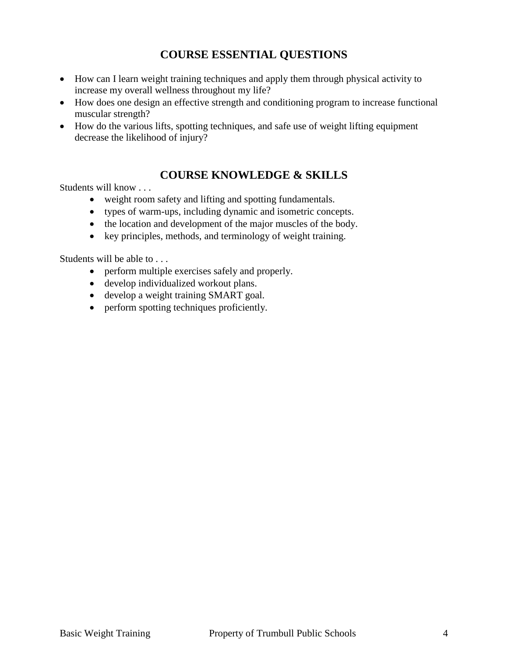## **COURSE ESSENTIAL QUESTIONS**

- How can I learn weight training techniques and apply them through physical activity to increase my overall wellness throughout my life?
- How does one design an effective strength and conditioning program to increase functional muscular strength?
- How do the various lifts, spotting techniques, and safe use of weight lifting equipment decrease the likelihood of injury?

#### **COURSE KNOWLEDGE & SKILLS**

Students will know . . .

- weight room safety and lifting and spotting fundamentals.
- types of warm-ups, including dynamic and isometric concepts.
- the location and development of the major muscles of the body.
- key principles, methods, and terminology of weight training.

Students will be able to . . .

- perform multiple exercises safely and properly.
- develop individualized workout plans.
- develop a weight training SMART goal.
- perform spotting techniques proficiently.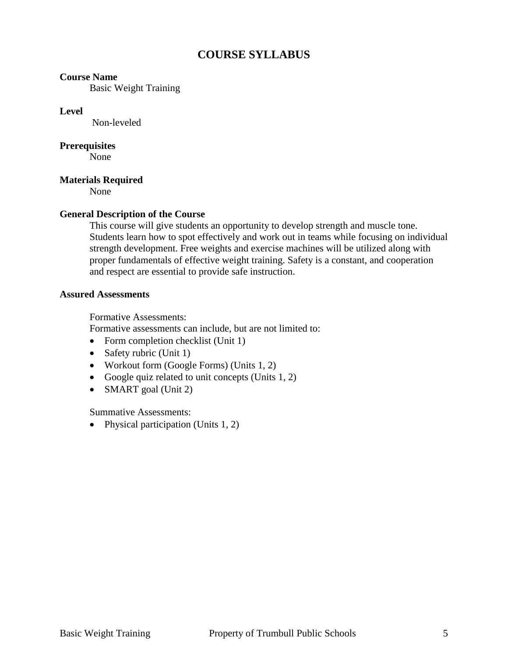#### **COURSE SYLLABUS**

#### **Course Name**

Basic Weight Training

#### **Level**

Non-leveled

#### **Prerequisites**

None

#### **Materials Required**

None

#### **General Description of the Course**

This course will give students an opportunity to develop strength and muscle tone. Students learn how to spot effectively and work out in teams while focusing on individual strength development. Free weights and exercise machines will be utilized along with proper fundamentals of effective weight training. Safety is a constant, and cooperation and respect are essential to provide safe instruction.

#### **Assured Assessments**

Formative Assessments:

Formative assessments can include, but are not limited to:

- Form completion checklist (Unit 1)
- Safety rubric (Unit 1)
- Workout form (Google Forms) (Units 1, 2)
- Google quiz related to unit concepts (Units  $1, 2$ )
- SMART goal (Unit 2)

Summative Assessments:

• Physical participation (Units  $1, 2$ )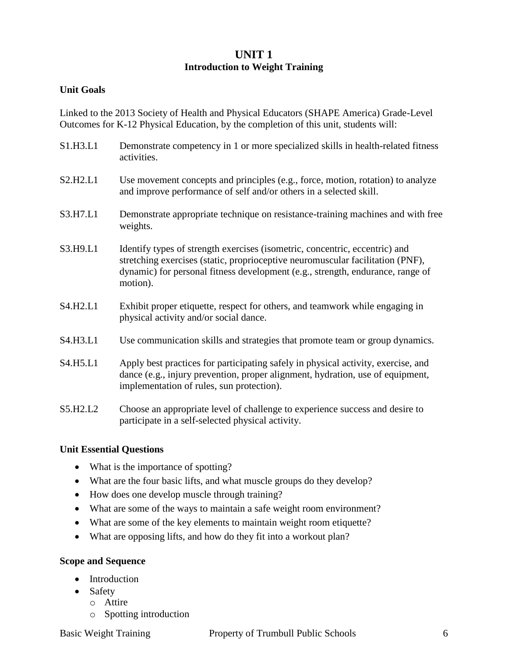#### **UNIT 1 Introduction to Weight Training**

#### **Unit Goals**

Linked to the 2013 Society of Health and Physical Educators (SHAPE America) Grade-Level Outcomes for K-12 Physical Education, by the completion of this unit, students will:

- S1.H3.L1 Demonstrate competency in 1 or more specialized skills in health-related fitness activities.
- S2.H2.L1 Use movement concepts and principles (e.g., force, motion, rotation) to analyze and improve performance of self and/or others in a selected skill.
- S3.H7.L1 Demonstrate appropriate technique on resistance-training machines and with free weights.
- S3.H9.L1 Identify types of strength exercises (isometric, concentric, eccentric) and stretching exercises (static, proprioceptive neuromuscular facilitation (PNF), dynamic) for personal fitness development (e.g., strength, endurance, range of motion).
- S4.H2.L1 Exhibit proper etiquette, respect for others, and teamwork while engaging in physical activity and/or social dance.
- S4.H3.L1 Use communication skills and strategies that promote team or group dynamics.
- S4.H5.L1 Apply best practices for participating safely in physical activity, exercise, and dance (e.g., injury prevention, proper alignment, hydration, use of equipment, implementation of rules, sun protection).
- S5.H2.L2 Choose an appropriate level of challenge to experience success and desire to participate in a self-selected physical activity.

#### **Unit Essential Questions**

- What is the importance of spotting?
- What are the four basic lifts, and what muscle groups do they develop?
- How does one develop muscle through training?
- What are some of the ways to maintain a safe weight room environment?
- What are some of the key elements to maintain weight room etiquette?
- What are opposing lifts, and how do they fit into a workout plan?

#### **Scope and Sequence**

- Introduction
- Safety
	- o Attire
	- o Spotting introduction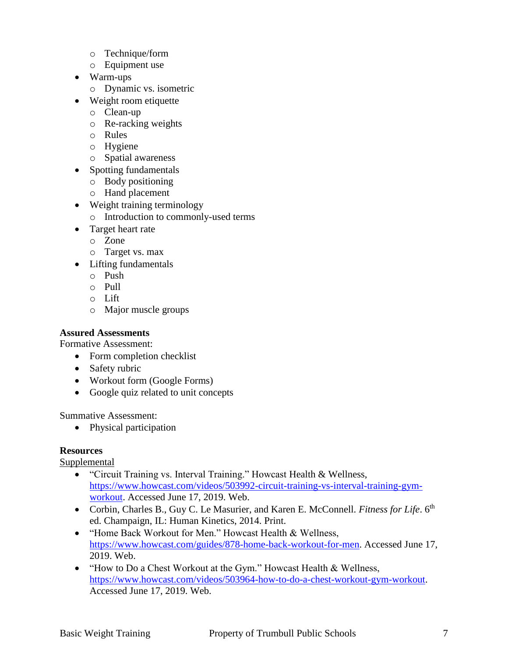- o Technique/form
- o Equipment use
- Warm-ups
	- o Dynamic vs. isometric
- Weight room etiquette
	- o Clean-up
	- o Re-racking weights
	- o Rules
	- o Hygiene
	- o Spatial awareness
- Spotting fundamentals
	- o Body positioning
	- o Hand placement
- Weight training terminology
	- o Introduction to commonly-used terms
- Target heart rate
	- o Zone
	- o Target vs. max
- Lifting fundamentals
	- o Push
	- o Pull
	- o Lift
	- o Major muscle groups

#### **Assured Assessments**

Formative Assessment:

- Form completion checklist
- Safety rubric
- Workout form (Google Forms)
- Google quiz related to unit concepts

Summative Assessment:

• Physical participation

#### **Resources**

Supplemental

- "Circuit Training vs. Interval Training." Howcast Health & Wellness, [https://www.howcast.com/videos/503992-circuit-training-vs-interval-training-gym](https://www.howcast.com/videos/503992-circuit-training-vs-interval-training-gym-workout)[workout.](https://www.howcast.com/videos/503992-circuit-training-vs-interval-training-gym-workout) Accessed June 17, 2019. Web.
- Corbin, Charles B., Guy C. Le Masurier, and Karen E. McConnell. *Fitness for Life*. 6<sup>th</sup> ed. Champaign, IL: Human Kinetics, 2014. Print.
- "Home Back Workout for Men." Howcast Health & Wellness, [https://www.howcast.com/guides/878-home-back-workout-for-men.](https://www.howcast.com/guides/878-home-back-workout-for-men) Accessed June 17, 2019. Web.
- "How to Do a Chest Workout at the Gym." Howcast Health & Wellness, [https://www.howcast.com/videos/503964-how-to-do-a-chest-workout-gym-workout.](https://www.howcast.com/videos/503964-how-to-do-a-chest-workout-gym-workout) Accessed June 17, 2019. Web.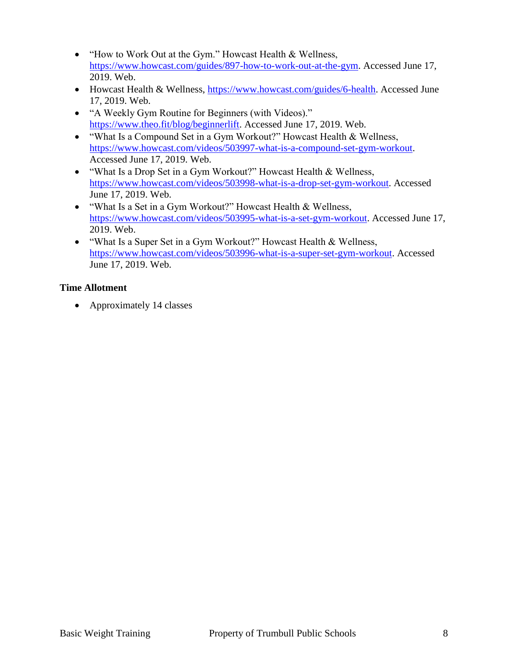- "How to Work Out at the Gym." Howcast Health & Wellness, [https://www.howcast.com/guides/897-how-to-work-out-at-the-gym.](https://www.howcast.com/guides/897-how-to-work-out-at-the-gym) Accessed June 17, 2019. Web.
- Howcast Health & Wellness, [https://www.howcast.com/guides/6-health.](https://www.howcast.com/guides/6-health) Accessed June 17, 2019. Web.
- "A Weekly Gym Routine for Beginners (with Videos)." [https://www.theo.fit/blog/beginnerlift.](https://www.theo.fit/blog/beginnerlift) Accessed June 17, 2019. Web.
- "What Is a Compound Set in a Gym Workout?" Howcast Health & Wellness, [https://www.howcast.com/videos/503997-what-is-a-compound-set-gym-workout.](https://www.howcast.com/videos/503997-what-is-a-compound-set-gym-workout) Accessed June 17, 2019. Web.
- "What Is a Drop Set in a Gym Workout?" Howcast Health & Wellness, [https://www.howcast.com/videos/503998-what-is-a-drop-set-gym-workout.](https://www.howcast.com/videos/503998-what-is-a-drop-set-gym-workout) Accessed June 17, 2019. Web.
- "What Is a Set in a Gym Workout?" Howcast Health & Wellness, [https://www.howcast.com/videos/503995-what-is-a-set-gym-workout.](https://www.howcast.com/videos/503995-what-is-a-set-gym-workout) Accessed June 17, 2019. Web.
- "What Is a Super Set in a Gym Workout?" Howcast Health & Wellness, [https://www.howcast.com/videos/503996-what-is-a-super-set-gym-workout.](https://www.howcast.com/videos/503996-what-is-a-super-set-gym-workout) Accessed June 17, 2019. Web.

#### **Time Allotment**

• Approximately 14 classes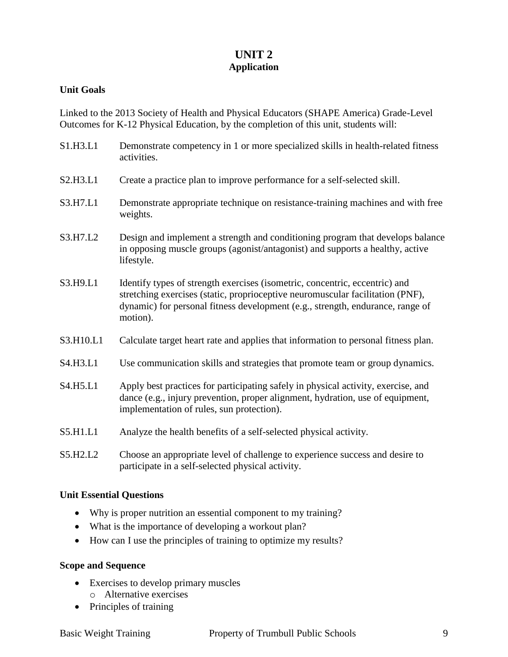#### **UNIT 2 Application**

#### **Unit Goals**

Linked to the 2013 Society of Health and Physical Educators (SHAPE America) Grade-Level Outcomes for K-12 Physical Education, by the completion of this unit, students will:

| S1.H3.L1  | Demonstrate competency in 1 or more specialized skills in health-related fitness<br>activities.                                                                                                                                                             |
|-----------|-------------------------------------------------------------------------------------------------------------------------------------------------------------------------------------------------------------------------------------------------------------|
| S2.H3.L1  | Create a practice plan to improve performance for a self-selected skill.                                                                                                                                                                                    |
| S3.H7.L1  | Demonstrate appropriate technique on resistance-training machines and with free<br>weights.                                                                                                                                                                 |
| S3.H7.L2  | Design and implement a strength and conditioning program that develops balance<br>in opposing muscle groups (agonist/antagonist) and supports a healthy, active<br>lifestyle.                                                                               |
| S3.H9.L1  | Identify types of strength exercises (isometric, concentric, eccentric) and<br>stretching exercises (static, proprioceptive neuromuscular facilitation (PNF),<br>dynamic) for personal fitness development (e.g., strength, endurance, range of<br>motion). |
| S3.H10.L1 | Calculate target heart rate and applies that information to personal fitness plan.                                                                                                                                                                          |
| S4.H3.L1  | Use communication skills and strategies that promote team or group dynamics.                                                                                                                                                                                |
| S4.H5.L1  | Apply best practices for participating safely in physical activity, exercise, and<br>dance (e.g., injury prevention, proper alignment, hydration, use of equipment,<br>implementation of rules, sun protection).                                            |
| S5.H1.L1  | Analyze the health benefits of a self-selected physical activity.                                                                                                                                                                                           |
| S5.H2.L2  | Choose an appropriate level of challenge to experience success and desire to<br>participate in a self-selected physical activity.                                                                                                                           |

#### **Unit Essential Questions**

- Why is proper nutrition an essential component to my training?
- What is the importance of developing a workout plan?
- How can I use the principles of training to optimize my results?

#### **Scope and Sequence**

- Exercises to develop primary muscles
	- o Alternative exercises
- Principles of training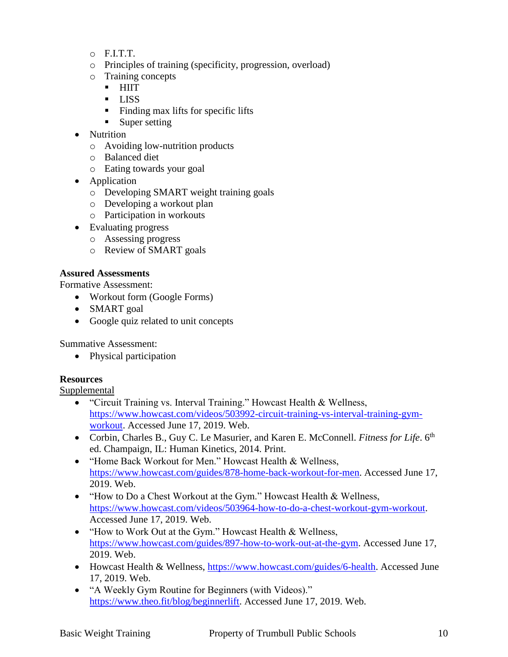- $\circ$  F.I.T.T.
- o Principles of training (specificity, progression, overload)
- o Training concepts
	- **HIIT**
	- **LISS**
	- $\blacksquare$  Finding max lifts for specific lifts
	- Super setting
- Nutrition
	- o Avoiding low-nutrition products
	- o Balanced diet
	- o Eating towards your goal
- Application
	- o Developing SMART weight training goals
	- o Developing a workout plan
	- o Participation in workouts
- Evaluating progress
	- o Assessing progress
	- o Review of SMART goals

#### **Assured Assessments**

Formative Assessment:

- Workout form (Google Forms)
- SMART goal
- Google quiz related to unit concepts

Summative Assessment:

• Physical participation

#### **Resources**

Supplemental

- "Circuit Training vs. Interval Training." Howcast Health & Wellness, [https://www.howcast.com/videos/503992-circuit-training-vs-interval-training-gym](https://www.howcast.com/videos/503992-circuit-training-vs-interval-training-gym-workout)[workout.](https://www.howcast.com/videos/503992-circuit-training-vs-interval-training-gym-workout) Accessed June 17, 2019. Web.
- Corbin, Charles B., Guy C. Le Masurier, and Karen E. McConnell. *Fitness for Life*. 6<sup>th</sup> ed. Champaign, IL: Human Kinetics, 2014. Print.
- "Home Back Workout for Men." Howcast Health & Wellness, [https://www.howcast.com/guides/878-home-back-workout-for-men.](https://www.howcast.com/guides/878-home-back-workout-for-men) Accessed June 17, 2019. Web.
- "How to Do a Chest Workout at the Gym." Howcast Health & Wellness, [https://www.howcast.com/videos/503964-how-to-do-a-chest-workout-gym-workout.](https://www.howcast.com/videos/503964-how-to-do-a-chest-workout-gym-workout) Accessed June 17, 2019. Web.
- "How to Work Out at the Gym." Howcast Health & Wellness, [https://www.howcast.com/guides/897-how-to-work-out-at-the-gym.](https://www.howcast.com/guides/897-how-to-work-out-at-the-gym) Accessed June 17, 2019. Web.
- Howcast Health & Wellness, [https://www.howcast.com/guides/6-health.](https://www.howcast.com/guides/6-health) Accessed June 17, 2019. Web.
- "A Weekly Gym Routine for Beginners (with Videos)." [https://www.theo.fit/blog/beginnerlift.](https://www.theo.fit/blog/beginnerlift) Accessed June 17, 2019. Web.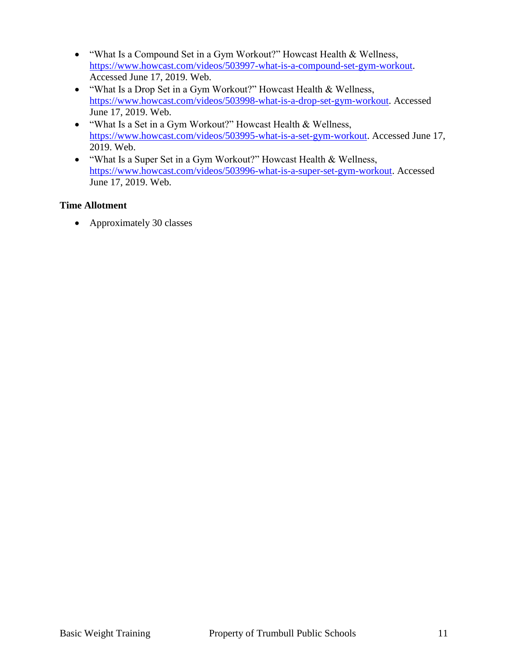- "What Is a Compound Set in a Gym Workout?" Howcast Health & Wellness, [https://www.howcast.com/videos/503997-what-is-a-compound-set-gym-workout.](https://www.howcast.com/videos/503997-what-is-a-compound-set-gym-workout) Accessed June 17, 2019. Web.
- "What Is a Drop Set in a Gym Workout?" Howcast Health & Wellness, [https://www.howcast.com/videos/503998-what-is-a-drop-set-gym-workout.](https://www.howcast.com/videos/503998-what-is-a-drop-set-gym-workout) Accessed June 17, 2019. Web.
- "What Is a Set in a Gym Workout?" Howcast Health & Wellness, [https://www.howcast.com/videos/503995-what-is-a-set-gym-workout.](https://www.howcast.com/videos/503995-what-is-a-set-gym-workout) Accessed June 17, 2019. Web.
- "What Is a Super Set in a Gym Workout?" Howcast Health & Wellness, [https://www.howcast.com/videos/503996-what-is-a-super-set-gym-workout.](https://www.howcast.com/videos/503996-what-is-a-super-set-gym-workout) Accessed June 17, 2019. Web.

#### **Time Allotment**

• Approximately 30 classes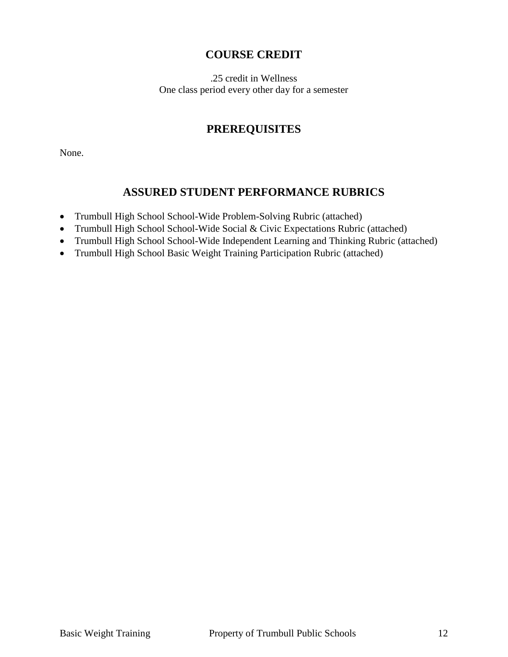#### **COURSE CREDIT**

.25 credit in Wellness One class period every other day for a semester

### **PREREQUISITES**

None.

#### **ASSURED STUDENT PERFORMANCE RUBRICS**

- Trumbull High School School-Wide Problem-Solving Rubric (attached)
- Trumbull High School School-Wide Social & Civic Expectations Rubric (attached)
- Trumbull High School School-Wide Independent Learning and Thinking Rubric (attached)
- Trumbull High School Basic Weight Training Participation Rubric (attached)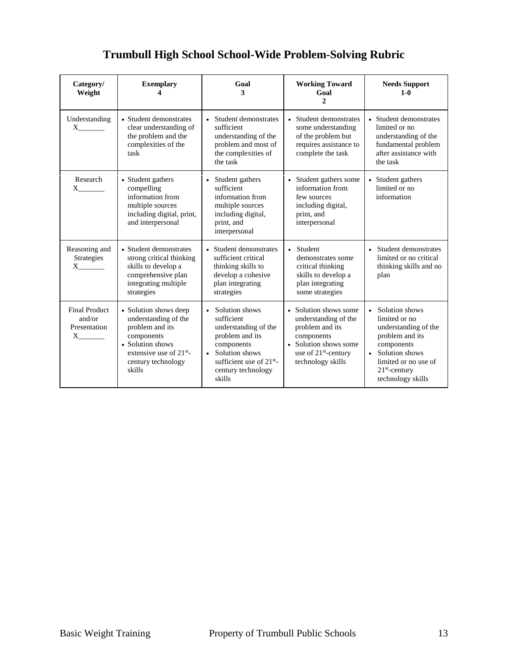| Category/<br>Weight                                                         | <b>Exemplary</b>                                                                                                                                                          | Goal<br>3                                                                                                                                                                                      | <b>Working Toward</b><br>Goal<br>$\overline{c}$                                                                                                                  | <b>Needs Support</b><br>$1 - 0$                                                                                                                                                |
|-----------------------------------------------------------------------------|---------------------------------------------------------------------------------------------------------------------------------------------------------------------------|------------------------------------------------------------------------------------------------------------------------------------------------------------------------------------------------|------------------------------------------------------------------------------------------------------------------------------------------------------------------|--------------------------------------------------------------------------------------------------------------------------------------------------------------------------------|
| Understanding<br>$X \sim$                                                   | • Student demonstrates<br>clear understanding of<br>the problem and the<br>complexities of the<br>task                                                                    | • Student demonstrates<br>sufficient<br>understanding of the<br>problem and most of<br>the complexities of<br>the task                                                                         | • Student demonstrates<br>some understanding<br>of the problem but<br>requires assistance to<br>complete the task                                                | • Student demonstrates<br>limited or no<br>understanding of the<br>fundamental problem<br>after assistance with<br>the task                                                    |
| Research<br>$X \sim$                                                        | • Student gathers<br>compelling<br>information from<br>multiple sources<br>including digital, print,<br>and interpersonal                                                 | • Student gathers<br>sufficient<br>information from<br>multiple sources<br>including digital,<br>print, and<br>interpersonal                                                                   | • Student gathers some<br>information from<br>few sources<br>including digital,<br>print, and<br>interpersonal                                                   | • Student gathers<br>limited or no<br>information                                                                                                                              |
| Reasoning and<br>Strategies<br>$X$ <sub>___________</sub>                   | • Student demonstrates<br>strong critical thinking<br>skills to develop a<br>comprehensive plan<br>integrating multiple<br>strategies                                     | • Student demonstrates<br>sufficient critical<br>thinking skills to<br>develop a cohesive<br>plan integrating<br>strategies                                                                    | • Student<br>demonstrates some<br>critical thinking<br>skills to develop a<br>plan integrating<br>some strategies                                                | • Student demonstrates<br>limited or no critical<br>thinking skills and no<br>plan                                                                                             |
| <b>Final Product</b><br>and/or<br>Presentation<br>$X$ <sub>__________</sub> | • Solution shows deep<br>understanding of the<br>problem and its<br>components<br>• Solution shows<br>extensive use of 21 <sup>st</sup> -<br>century technology<br>skills | • Solution shows<br>sufficient<br>understanding of the<br>problem and its<br>components<br>Solution shows<br>$\bullet$<br>sufficient use of 21 <sup>st</sup> -<br>century technology<br>skills | • Solution shows some<br>understanding of the<br>problem and its<br>components<br>• Solution shows some<br>use of 21 <sup>st</sup> -century<br>technology skills | • Solution shows<br>limited or no<br>understanding of the<br>problem and its<br>components<br>• Solution shows<br>limited or no use of<br>$21st$ -century<br>technology skills |

## **Trumbull High School School-Wide Problem-Solving Rubric**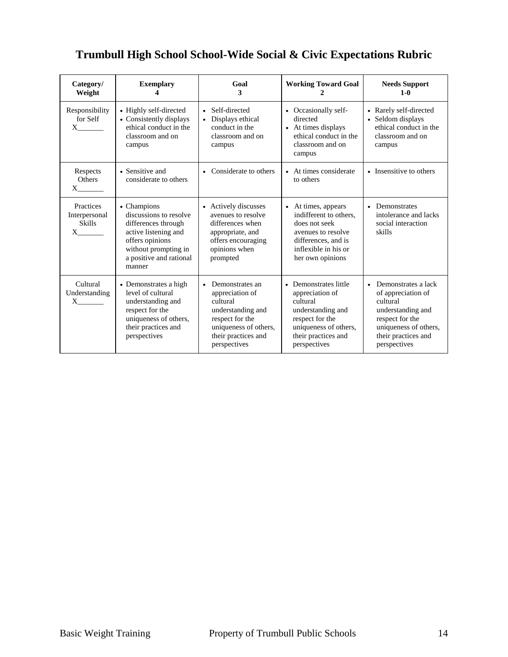## **Trumbull High School School-Wide Social & Civic Expectations Rubric**

| Category/<br>Weight                                                                                                                                                                                                                                                                                                           | <b>Exemplary</b>                                                                                                                                                     | Goal<br>3                                                                                                                                                           | <b>Working Toward Goal</b>                                                                                                                                   | <b>Needs Support</b><br>$1-0$                                                                                                                                              |
|-------------------------------------------------------------------------------------------------------------------------------------------------------------------------------------------------------------------------------------------------------------------------------------------------------------------------------|----------------------------------------------------------------------------------------------------------------------------------------------------------------------|---------------------------------------------------------------------------------------------------------------------------------------------------------------------|--------------------------------------------------------------------------------------------------------------------------------------------------------------|----------------------------------------------------------------------------------------------------------------------------------------------------------------------------|
| Responsibility<br>for Self                                                                                                                                                                                                                                                                                                    | • Highly self-directed<br>• Consistently displays<br>ethical conduct in the<br>classroom and on<br>campus                                                            | • Self-directed<br>Displays ethical<br>conduct in the<br>classroom and on<br>campus                                                                                 | • Occasionally self-<br>directed<br>• At times displays<br>ethical conduct in the<br>classroom and on<br>campus                                              | • Rarely self-directed<br>• Seldom displays<br>ethical conduct in the<br>classroom and on<br>campus                                                                        |
| Respects<br><b>Others</b><br>$X \qquad \qquad$                                                                                                                                                                                                                                                                                | • Sensitive and<br>considerate to others                                                                                                                             | Considerate to others<br>• At times considerate<br>$\bullet$<br>to others                                                                                           |                                                                                                                                                              | • Insensitive to others                                                                                                                                                    |
| Practices<br>Interpersonal<br><b>Skills</b><br>$X \qquad \qquad$                                                                                                                                                                                                                                                              | • Champions<br>discussions to resolve<br>differences through<br>active listening and<br>offers opinions<br>without prompting in<br>a positive and rational<br>manner | • Actively discusses<br>avenues to resolve<br>differences when<br>appropriate, and<br>offers encouraging<br>opinions when<br>prompted                               | • At times, appears<br>indifferent to others.<br>does not seek<br>avenues to resolve<br>differences, and is<br>inflexible in his or<br>her own opinions      | Demonstrates<br>$\bullet$<br>intolerance and lacks<br>social interaction<br>skills                                                                                         |
| Cultural<br>Understanding<br>$\mathbf{X}$ and $\mathbf{X}$ and $\mathbf{X}$ and $\mathbf{X}$ and $\mathbf{X}$ and $\mathbf{X}$ and $\mathbf{X}$ and $\mathbf{X}$ and $\mathbf{X}$ and $\mathbf{X}$ and $\mathbf{X}$ and $\mathbf{X}$ and $\mathbf{X}$ and $\mathbf{X}$ and $\mathbf{X}$ and $\mathbf{X}$ and $\mathbf{X}$ and | • Demonstrates a high<br>level of cultural<br>understanding and<br>respect for the<br>uniqueness of others,<br>their practices and<br>perspectives                   | Demonstrates an<br>$\bullet$<br>appreciation of<br>cultural<br>understanding and<br>respect for the<br>uniqueness of others,<br>their practices and<br>perspectives | • Demonstrates little<br>appreciation of<br>cultural<br>understanding and<br>respect for the<br>uniqueness of others,<br>their practices and<br>perspectives | Demonstrates a lack<br>$\bullet$<br>of appreciation of<br>cultural<br>understanding and<br>respect for the<br>uniqueness of others,<br>their practices and<br>perspectives |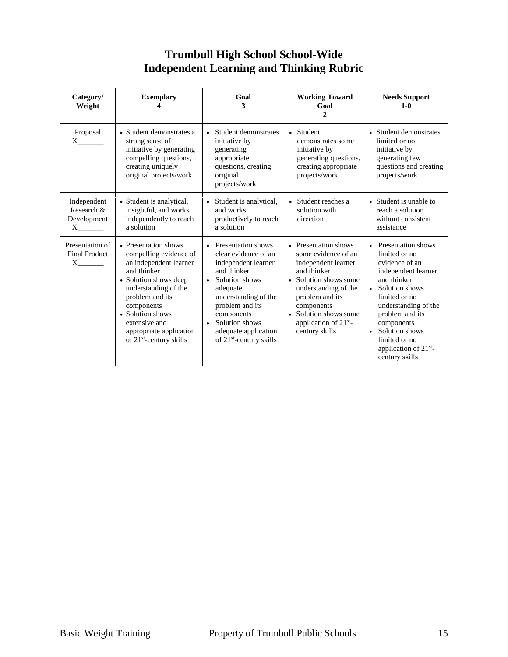## **Trumbull High School School-Wide Independent Learning and Thinking Rubric**

| Category/<br>Weight                                           | <b>Exemplary</b>                                                                                                                                                                                                                                                                                                                                     | Goal<br>3                                                                                                                | <b>Working Toward</b><br>Goal<br>$\mathbf{2}$                                                                                                                                                                                                       | <b>Needs Support</b><br>$1 - 0$                                                                                                                                                                                                                                               |  |
|---------------------------------------------------------------|------------------------------------------------------------------------------------------------------------------------------------------------------------------------------------------------------------------------------------------------------------------------------------------------------------------------------------------------------|--------------------------------------------------------------------------------------------------------------------------|-----------------------------------------------------------------------------------------------------------------------------------------------------------------------------------------------------------------------------------------------------|-------------------------------------------------------------------------------------------------------------------------------------------------------------------------------------------------------------------------------------------------------------------------------|--|
| Proposal<br>$X \sim$                                          | • Student demonstrates a<br>strong sense of<br>initiative by generating<br>compelling questions,<br>creating uniquely<br>original projects/work                                                                                                                                                                                                      | • Student demonstrates<br>initiative by<br>generating<br>appropriate<br>questions, creating<br>original<br>projects/work | • Student<br>demonstrates some<br>initiative by<br>generating questions,<br>creating appropriate<br>projects/work                                                                                                                                   | • Student demonstrates<br>limited or no<br>initiative by<br>generating few<br>questions and creating<br>projects/work                                                                                                                                                         |  |
| Independent<br>Research &<br>Development<br>$X \qquad \qquad$ | • Student is analytical,<br>insightful, and works<br>independently to reach<br>a solution                                                                                                                                                                                                                                                            | • Student is analytical,<br>and works<br>productively to reach<br>a solution                                             | • Student reaches a<br>solution with<br>direction                                                                                                                                                                                                   | • Student is unable to<br>reach a solution<br>without consistent<br>assistance                                                                                                                                                                                                |  |
| Presentation of<br><b>Final Product</b><br>$X \sim$           | • Presentation shows<br>• Presentation shows<br>compelling evidence of<br>an independent learner<br>and thinker<br>• Solution shows deep<br>Solution shows<br>$\bullet$<br>understanding of the<br>problem and its<br>components<br>• Solution shows<br>extensive and<br>$\bullet$<br>appropriate application<br>of 21 <sup>st</sup> -century skills |                                                                                                                          | • Presentation shows<br>some evidence of an<br>independent learner<br>and thinker<br>• Solution shows some<br>understanding of the<br>problem and its<br>components<br>• Solution shows some<br>application of 21 <sup>st</sup> -<br>century skills | • Presentation shows<br>limited or no<br>evidence of an<br>independent learner<br>and thinker<br>• Solution shows<br>limited or no<br>understanding of the<br>problem and its<br>components<br>• Solution shows<br>limited or no<br>application of $21st$ -<br>century skills |  |